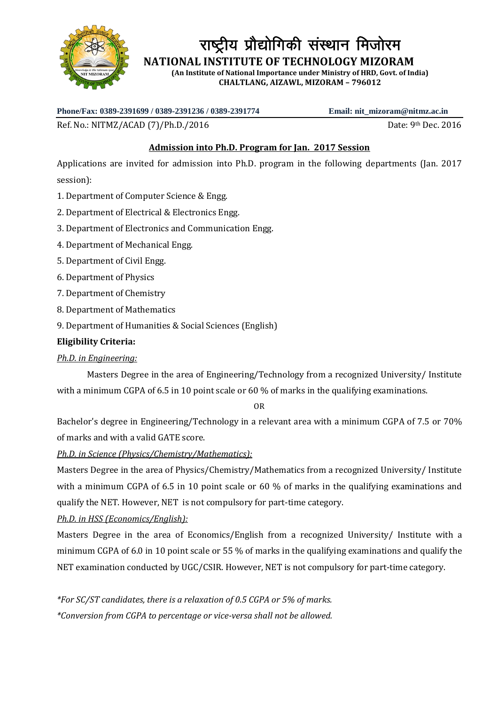

राष्ट्रीय प्रौद्योगिकी संस्थान मिजोरम

 **NATIONAL INSTITUTE OF TECHNOLOGY MIZORAM**

**(An Institute of National Importance under Ministry of HRD, Govt. of India) CHALTLANG, AIZAWL, MIZORAM – 796012**

**Phone/Fax: 0389-2391699 / 0389-2391236 / 0389-2391774 Email: nit\_mizoram@nitmz.ac.in**

Ref. No.: NITMZ/ACAD (7)/Ph.D./2016 **Date: 9th Dec. 2016** Date: 9th Dec. 2016

# **Admission into Ph.D. Program for Jan. 2017 Session**

Applications are invited for admission into Ph.D. program in the following departments (Jan. 2017 session):

- 1. Department of Computer Science & Engg.
- 2. Department of Electrical & Electronics Engg.
- 3. Department of Electronics and Communication Engg.
- 4. Department of Mechanical Engg.
- 5. Department of Civil Engg.
- 6. Department of Physics
- 7. Department of Chemistry
- 8. Department of Mathematics
- 9. Department of Humanities & Social Sciences (English)

# **Eligibility Criteria:**

# *Ph.D. in Engineering:*

Masters Degree in the area of Engineering/Technology from a recognized University/ Institute with a minimum CGPA of 6.5 in 10 point scale or 60 % of marks in the qualifying examinations.

OR

Bachelor's degree in Engineering/Technology in a relevant area with a minimum CGPA of 7.5 or 70% of marks and with a valid GATE score.

*Ph.D. in Science (Physics/Chemistry/Mathematics):*

Masters Degree in the area of Physics/Chemistry/Mathematics from a recognized University/ Institute with a minimum CGPA of 6.5 in 10 point scale or 60 % of marks in the qualifying examinations and qualify the NET. However, NET is not compulsory for part-time category.

*Ph.D. in HSS (Economics/English):*

Masters Degree in the area of Economics/English from a recognized University/ Institute with a minimum CGPA of 6.0 in 10 point scale or 55 % of marks in the qualifying examinations and qualify the NET examination conducted by UGC/CSIR. However, NET is not compulsory for part-time category.

*\*For SC/ST candidates, there is a relaxation of 0.5 CGPA or 5% of marks. \*Conversion from CGPA to percentage or vice-versa shall not be allowed.*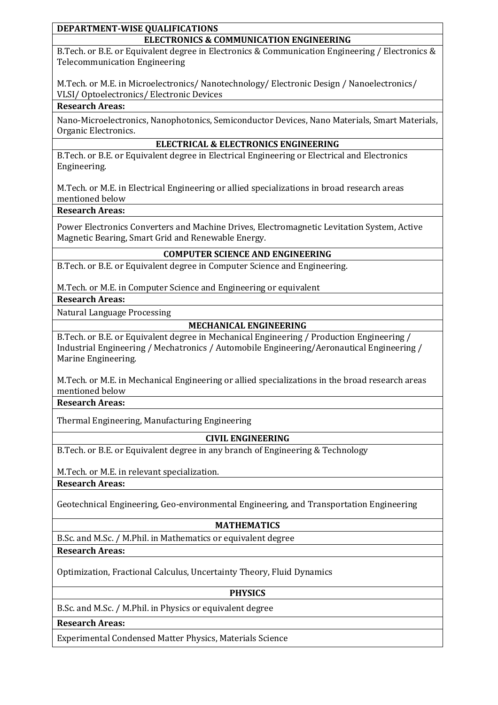#### **DEPARTMENT-WISE QUALIFICATIONS ELECTRONICS & COMMUNICATION ENGINEERING**

B.Tech. or B.E. or Equivalent degree in Electronics & Communication Engineering / Electronics & Telecommunication Engineering

M.Tech. or M.E. in Microelectronics/ Nanotechnology/ Electronic Design / Nanoelectronics/ VLSI/ Optoelectronics/ Electronic Devices

## **Research Areas:**

Nano-Microelectronics, Nanophotonics, Semiconductor Devices, Nano Materials, Smart Materials, Organic Electronics.

## **ELECTRICAL & ELECTRONICS ENGINEERING**

B.Tech. or B.E. or Equivalent degree in Electrical Engineering or Electrical and Electronics Engineering.

M.Tech. or M.E. in Electrical Engineering or allied specializations in broad research areas mentioned below

## **Research Areas:**

Power Electronics Converters and Machine Drives, Electromagnetic Levitation System, Active Magnetic Bearing, Smart Grid and Renewable Energy.

### **COMPUTER SCIENCE AND ENGINEERING**

B.Tech. or B.E. or Equivalent degree in Computer Science and Engineering.

M.Tech. or M.E. in Computer Science and Engineering or equivalent

## **Research Areas:**

Natural Language Processing

# **MECHANICAL ENGINEERING**

B.Tech. or B.E. or Equivalent degree in Mechanical Engineering / Production Engineering / Industrial Engineering / Mechatronics / Automobile Engineering/Aeronautical Engineering / Marine Engineering.

M.Tech. or M.E. in Mechanical Engineering or allied specializations in the broad research areas mentioned below

## **Research Areas:**

Thermal Engineering, Manufacturing Engineering

# **CIVIL ENGINEERING**

B.Tech. or B.E. or Equivalent degree in any branch of Engineering & Technology

M.Tech. or M.E. in relevant specialization.

**Research Areas:**

Geotechnical Engineering, Geo-environmental Engineering, and Transportation Engineering

# **MATHEMATICS**

B.Sc. and M.Sc. / M.Phil. in Mathematics or equivalent degree

# **Research Areas:**

Optimization, Fractional Calculus, Uncertainty Theory, Fluid Dynamics

### **PHYSICS**

B.Sc. and M.Sc. / M.Phil. in Physics or equivalent degree

**Research Areas:**

Experimental Condensed Matter Physics, Materials Science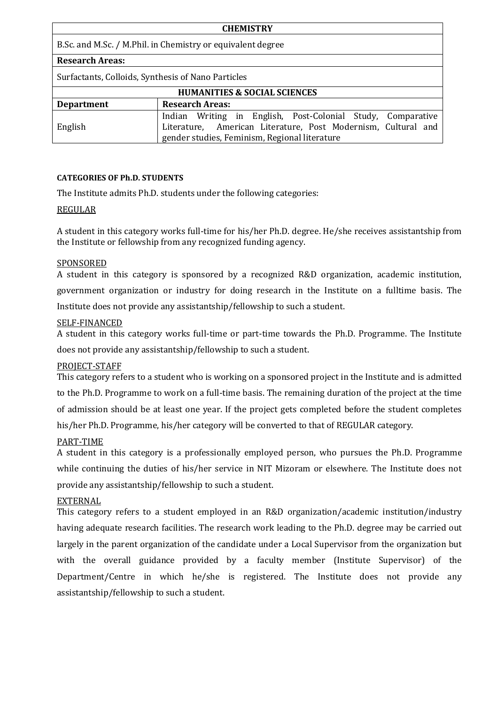| <b>CHEMISTRY</b>                                            |                                                                                                                                                                               |  |  |
|-------------------------------------------------------------|-------------------------------------------------------------------------------------------------------------------------------------------------------------------------------|--|--|
| B.Sc. and M.Sc. / M.Phil. in Chemistry or equivalent degree |                                                                                                                                                                               |  |  |
| <b>Research Areas:</b>                                      |                                                                                                                                                                               |  |  |
| Surfactants, Colloids, Synthesis of Nano Particles          |                                                                                                                                                                               |  |  |
| <b>HUMANITIES &amp; SOCIAL SCIENCES</b>                     |                                                                                                                                                                               |  |  |
| <b>Department</b>                                           | <b>Research Areas:</b>                                                                                                                                                        |  |  |
| English                                                     | Indian Writing in English, Post-Colonial Study, Comparative<br>Literature, American Literature, Post Modernism, Cultural and<br>gender studies, Feminism, Regional literature |  |  |

### **CATEGORIES OF Ph.D. STUDENTS**

The Institute admits Ph.D. students under the following categories:

### REGULAR

A student in this category works full-time for his/her Ph.D. degree. He/she receives assistantship from the Institute or fellowship from any recognized funding agency.

#### SPONSORED

A student in this category is sponsored by a recognized R&D organization, academic institution, government organization or industry for doing research in the Institute on a fulltime basis. The Institute does not provide any assistantship/fellowship to such a student.

### SELF-FINANCED

A student in this category works full-time or part-time towards the Ph.D. Programme. The Institute does not provide any assistantship/fellowship to such a student.

### PROJECT-STAFF

This category refers to a student who is working on a sponsored project in the Institute and is admitted to the Ph.D. Programme to work on a full-time basis. The remaining duration of the project at the time of admission should be at least one year. If the project gets completed before the student completes his/her Ph.D. Programme, his/her category will be converted to that of REGULAR category.

### PART-TIME

A student in this category is a professionally employed person, who pursues the Ph.D. Programme while continuing the duties of his/her service in NIT Mizoram or elsewhere. The Institute does not provide any assistantship/fellowship to such a student.

#### EXTERNAL

This category refers to a student employed in an R&D organization/academic institution/industry having adequate research facilities. The research work leading to the Ph.D. degree may be carried out largely in the parent organization of the candidate under a Local Supervisor from the organization but with the overall guidance provided by a faculty member (Institute Supervisor) of the Department/Centre in which he/she is registered. The Institute does not provide any assistantship/fellowship to such a student.